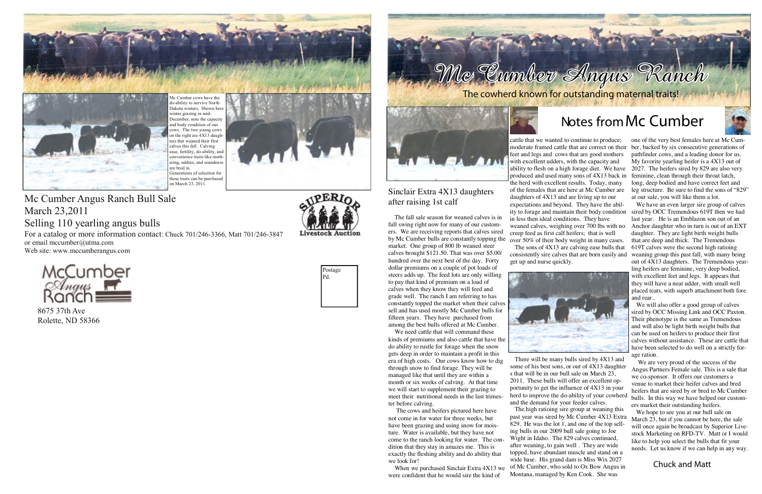## **Notes fromMc Cumber**

Sinclair Extra 4X13 daughters

after raising 1st calf

The fall sale season for weaned calves is in full swing right now for many of our customers. We are receiving reports that calves sired

market. One group of 800 lb weaned steer calves brought \$121.50. That was over \$5.00/ hundred over the next best of the day. Forty dollar premiums on a couple of pot loads of steers adds up. The feed lots are only willing to pay that kind of premium on a load of calves when they know they will feed and grade well. The ranch I am referring to has

sell and has used mostly Mc Cumber bulls for fifteen years. They have purchased from among the best bulls offered at Mc Cumber. We need cattle that will command these kinds of premiums and also cattle that have the do ability to rustle for forage when the snow gets deep in order to maintain a profit in this era of high costs. Our cows know how to dig through snow to find forage. They will be managed like that until they are within a month or six weeks of calving. At that time we will start to supplement their grazing to meet their nutritional needs in the last trimes-

ter before calving.

The cows and heifers pictured here have not come in for water for three weeks, but have been grazing and using snow for moisture. Water is available, but they have not come to the ranch looking for water. The condition that they stay in amazes me. This is exactly the fleshing ability and do ability that

we look for!



When we purchased Sinclair Extra 4X13 we were confident that he would sire the kind of

by Mc Cumber bulls are constantly topping the over 50% of their body weight in many cases. constantly topped the market when their calves cattle that we wanted to continue to produce; moderate framed cattle that are correct on their ber, backed by six consecutive generations of feet and legs and cows that are good mothers with excellent udders, with the capacity and ability to flesh on a high forage diet. We have produced and used many sons of 4X13 back in the herd with excellent results. Today, many of the females that are here at Mc Cumber are daughters of 4X13 and are living up to our expectations and beyond. They have the ability to forage and maintain their body condition in less then ideal conditions. They have weaned calves, weighing over 700 lbs with no creep feed as first calf heifers; that is well The sons of 4X13 are calving ease bulls that consistently sire calves that are born easily and get up and nurse quickly. one of the very best females here at Mc Cumpathfinder cows, and a leading donor for us. My favorite yearling heifer is a 4X13 out of 2027. The heifers sired by 829 are also very feminine, clean through their throat latch, long, deep bodied and have correct feet and leg structure. Be sure to find the sons of "829" at our sale, you will like them a lot. We have an even larger sire group of calves sired by OCC Tremendous 619T then we had last year. He is an Emblazon son out of an Anchor daughter who in turn is out of an EXT daughter. They are light birth weight bulls that are deep and thick. The Tremendous 619T calves were the second high ratioing weaning group this past fall, with many being out of 4X13 daughters. The Tremendous yearling heifers are feminine, very deep bodied, with excellent feet and legs. It appears that they will have a neat udder, with small well placed teats, with superb attachment both fore and rear..





There will be many bulls sired by 4X13 and some of his best sons, or out of 4X13 daughter s that will be in our bull sale on March 23, 2011. These bulls will offer an excellent opportunity to get the influence of 4X13 in your herd to improve the do-ability of your cowherd and the demand for your feeder calves. The high ratioing sire group at weaning this past year was sired by Mc Cumber 4X13 Extra 829. He was the lot 1, and one of the top selling bulls in our 2009 bull sale going to Joe Wight in Idaho. The 829 calves continued, after weaning, to gain well . They are wide topped, have abundant muscle and stand on a wide base. His grand dam is Miss Wix 2027 of Mc Cumber, who sold to Ox Bow Angus in Montana, managed by Ken Cook. She was We are very proud of the success of the Angus Partners Female sale. This is a sale that we co-sponsor. It offers our customers a venue to market their heifer calves and bred heifers that are sired by or bred to Mc Cumber bulls. In this way we have helped our customers market their outstanding heifers. We hope to see you at our bull sale on March 23, but if you cannot be here, the sale will once again be broadcast by Superior Livestock Marketing on RFD-TV. Matt or I would like to help you select the bulls that fit your needs. Let us know if we can help in any way. **Chuck and Matt**

We will also offer a good group of calves sired by OCC Missing Link and OCC Paxton. Their phenotype is the same as Tremendous and will also be light birth weight bulls that can be used on heifers to produce their first calves without assistance. These are cattle that have been selected to do well on a strictly forage ration.



8675 37th Ave Rolette, ND 58366



Mc Cumber Angus Ranch Bull Sale March 23,2011 Selling 110 yearling angus bulls For a catalog or more information contact: Chuck 701/246-3366, Matt 701/246-3847 or email mccumber@utma.com Web site: www.mccumberangus.com







Mc Cumber cows have the do-ability to survive North Dakota winters. Shown here winter grazing in mid-December, note the capacity and body condition of our cows. The two young cows on the right are 4X13 daughters that weaned their first calves this fall. Calving ease, fertility, do-ability, and convenience traits like mothering, udders, and soundness are bred in. Generations of selection for these traits can be purchased on March 23, 2011.